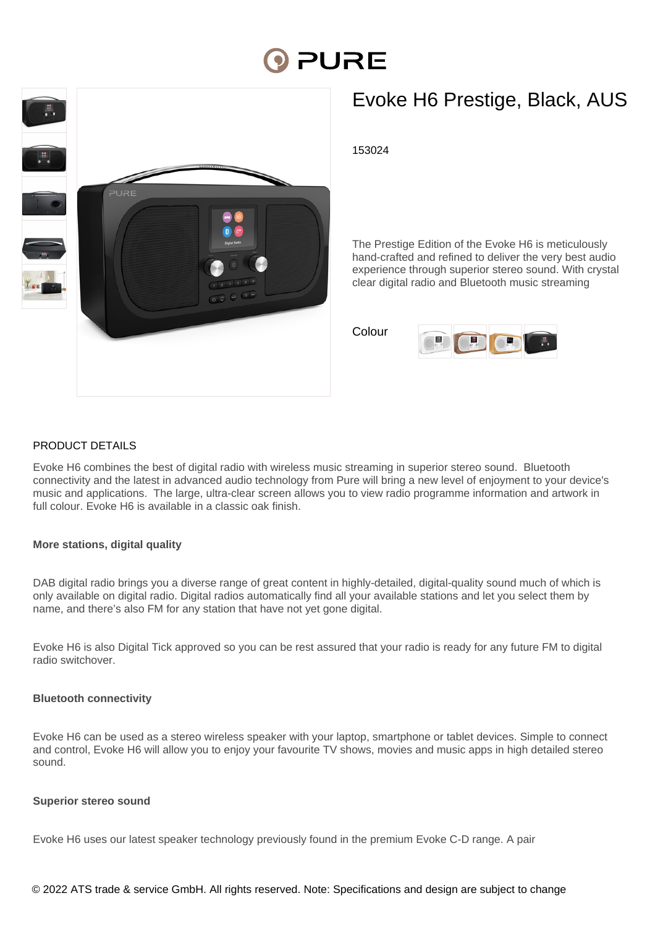# **DI PURE**



## Evoke H6 Prestige, Black, AUS

153024

The Prestige Edition of the Evoke H6 is meticulously hand-crafted and refined to deliver the very best audio experience through superior stereo sound. With crystal clear digital radio and Bluetooth music streaming

Colour



#### PRODUCT DETAILS

Evoke H6 combines the best of digital radio with wireless music streaming in superior stereo sound. Bluetooth connectivity and the latest in advanced audio technology from Pure will bring a new level of enjoyment to your device's music and applications. The large, ultra-clear screen allows you to view radio programme information and artwork in full colour. Evoke H6 is available in a classic oak finish.

#### **More stations, digital quality**

DAB digital radio brings you a diverse range of great content in highly-detailed, digital-quality sound much of which is only available on digital radio. Digital radios automatically find all your available stations and let you select them by name, and there's also FM for any station that have not yet gone digital.

Evoke H6 is also Digital Tick approved so you can be rest assured that your radio is ready for any future FM to digital radio switchover.

#### **Bluetooth connectivity**

Evoke H6 can be used as a stereo wireless speaker with your laptop, smartphone or tablet devices. Simple to connect and control, Evoke H6 will allow you to enjoy your favourite TV shows, movies and music apps in high detailed stereo sound.

#### **Superior stereo sound**

Evoke H6 uses our latest speaker technology previously found in the premium Evoke C-D range. A pair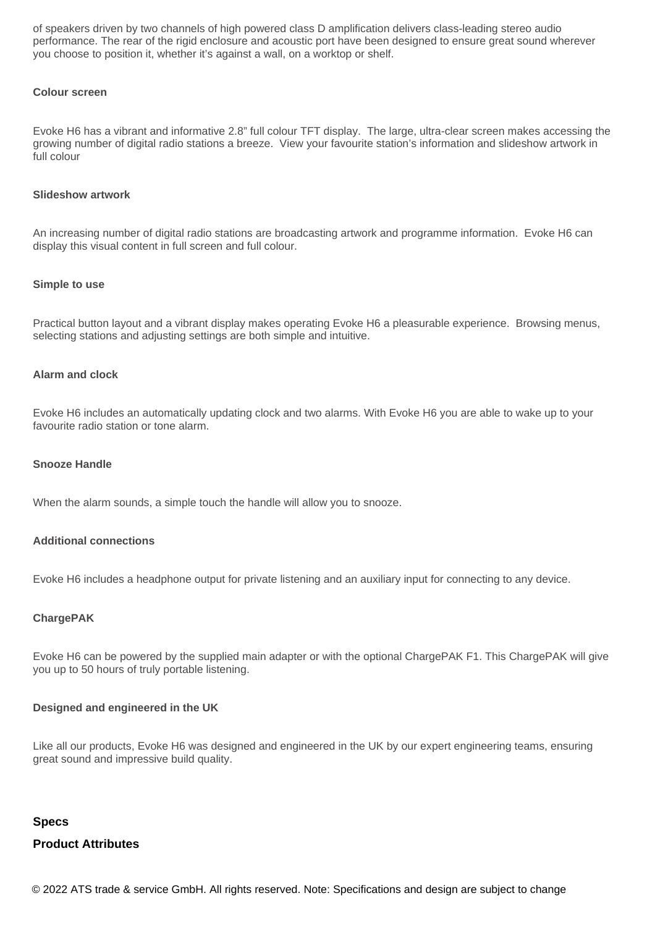of speakers driven by two channels of high powered class D amplification delivers class-leading stereo audio performance. The rear of the rigid enclosure and acoustic port have been designed to ensure great sound wherever you choose to position it, whether it's against a wall, on a worktop or shelf.

#### **Colour screen**

Evoke H6 has a vibrant and informative 2.8" full colour TFT display. The large, ultra-clear screen makes accessing the growing number of digital radio stations a breeze. View your favourite station's information and slideshow artwork in full colour

#### **Slideshow artwork**

An increasing number of digital radio stations are broadcasting artwork and programme information. Evoke H6 can display this visual content in full screen and full colour.

#### **Simple to use**

Practical button layout and a vibrant display makes operating Evoke H6 a pleasurable experience. Browsing menus, selecting stations and adjusting settings are both simple and intuitive.

#### **Alarm and clock**

Evoke H6 includes an automatically updating clock and two alarms. With Evoke H6 you are able to wake up to your favourite radio station or tone alarm.

#### **Snooze Handle**

When the alarm sounds, a simple touch the handle will allow you to snooze.

#### **Additional connections**

Evoke H6 includes a headphone output for private listening and an auxiliary input for connecting to any device.

#### **ChargePAK**

Evoke H6 can be powered by the supplied main adapter or with the optional ChargePAK F1. This ChargePAK will give you up to 50 hours of truly portable listening.

#### **Designed and engineered in the UK**

Like all our products, Evoke H6 was designed and engineered in the UK by our expert engineering teams, ensuring great sound and impressive build quality.

### **Specs Product Attributes**